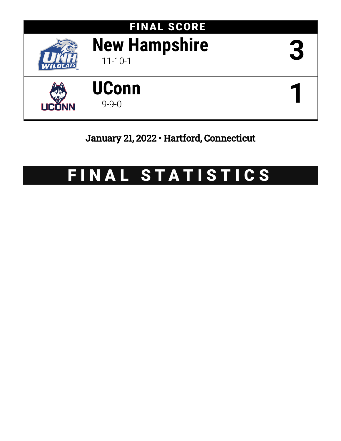

# January 21, 2022 • Hartford, Connecticut

# FINAL STATISTICS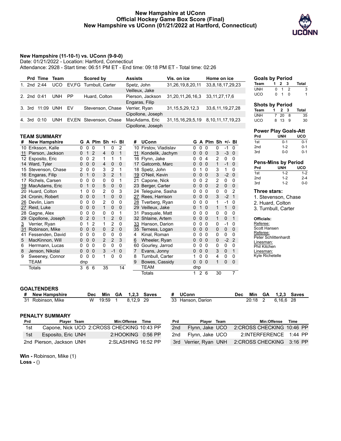#### **New Hampshire at UConn Official Hockey Game Box Score (Final) New Hampshire vs UConn (01/21/2022 at Hartford, Connecticut)**



#### **New Hampshire (11-10-1) vs. UConn (9-9-0)**

Date: 01/21/2022 - Location: Hartford, Connecticut

Attendance: 2928 - Start time: 06:51 PM ET - End time: 09:18 PM ET - Total time: 02:26

|    |               | Prd Time            | Team                 |                         |                   |                | <b>Scored by</b>  |                         |                | <b>Assists</b> |                       |    | Vis. on ice           |                   |                | Home on ice           |              |                |                          | <b>Goals by Period</b>    |                     |                                |                             |
|----|---------------|---------------------|----------------------|-------------------------|-------------------|----------------|-------------------|-------------------------|----------------|----------------|-----------------------|----|-----------------------|-------------------|----------------|-----------------------|--------------|----------------|--------------------------|---------------------------|---------------------|--------------------------------|-----------------------------|
|    |               | 1. 2nd 2:44         | <b>UCO</b>           | EV,FG Turnbull, Carter  |                   |                |                   |                         |                | Spetz, John    |                       |    | 31,26,19,8,20,11      |                   |                | 33,8,18,17,29,23      |              |                |                          | <b>Team</b>               | $1 \quad 2 \quad 3$ |                                | <b>Total</b>                |
|    |               |                     |                      |                         |                   |                |                   |                         |                | Veilleux, Jake |                       |    |                       |                   |                |                       |              |                | <b>UNH</b>               |                           | $\Omega$            | $\overline{2}$<br>$\mathbf{1}$ |                             |
|    | 2. 2nd 0:41   |                     | <b>UNH</b>           | PP                      |                   |                | Huard, Colton     |                         |                |                | Pierson, Jackson      |    | 31,20,11,26,16,3      |                   |                | 33, 11, 27, 17, 6     |              |                | <b>UCO</b>               |                           | $\mathbf 0$         | 1<br>$\mathbf 0$               |                             |
|    |               |                     |                      |                         |                   |                |                   |                         |                | Engaras, Filip |                       |    |                       |                   |                |                       |              |                |                          |                           |                     |                                |                             |
|    | 3. 3rd        | 11:09 UNH           |                      | EV                      |                   |                | Stevenson, Chase  |                         |                | Verrier, Ryan  |                       |    | 31, 15, 5, 29, 12, 3  |                   |                | 33,6,11,19,27,28      |              |                |                          | <b>Shots by Period</b>    |                     |                                |                             |
|    |               |                     |                      |                         |                   |                |                   |                         |                |                | Cipollone, Joseph     |    |                       |                   |                |                       |              |                |                          | <b>Team</b>               | 1<br>$\overline{7}$ | $\mathbf{2}$<br>$_{3}$         | <b>Total</b>                |
|    |               | 4. 3rd 0:10         | <b>UNH</b>           | EV, EN Stevenson, Chase |                   |                |                   |                         |                |                | MacAdams, Eric        |    | 31, 15, 16, 29, 5, 19 |                   |                | 8, 10, 11, 17, 19, 23 |              |                | <b>UNH</b><br><b>UCO</b> |                           |                     | 20 8<br>8 13 9                 | 35<br>3 <sub>0</sub>        |
|    |               |                     |                      |                         |                   |                |                   |                         |                |                | Cipollone, Joseph     |    |                       |                   |                |                       |              |                |                          |                           |                     |                                |                             |
|    |               |                     |                      |                         |                   |                |                   |                         |                |                |                       |    |                       |                   |                |                       |              |                |                          |                           |                     |                                | <b>Power Play Goals-Att</b> |
|    |               | <b>TEAM SUMMARY</b> |                      |                         |                   |                |                   |                         |                |                |                       |    |                       |                   |                |                       |              |                | Prd                      |                           |                     | <b>UNH</b>                     | <b>UCO</b>                  |
| #  |               |                     | <b>New Hampshire</b> |                         |                   |                | G A Plm Sh +/- Bl |                         |                | #              | <b>UConn</b>          |    |                       |                   |                | G A Plm Sh +/- Bl     |              |                | 1st                      |                           |                     | $0 - 1$                        | $0-$                        |
|    |               | 10 Eriksson, Kalle  |                      |                         | $0\quad 0\quad 0$ |                | 1                 | $\mathbf 0$             | $\overline{2}$ |                | 10 Firstov, Vladislav |    |                       | $\mathbf 0$       | 0 <sub>0</sub> | 0                     | $-1$         | $\mathbf 0$    | 2nd                      |                           |                     | $1 - 2$                        | $0 - 7$                     |
| 11 |               |                     | Pierson, Jackson     | 0                       | $\overline{1}$    | 2              | 4                 | 0                       | 1              |                | 11 Kondelik, Jachym   |    |                       | $\Omega$          | 0 <sub>0</sub> | 3                     |              | $-3$ 0         | 3rd                      |                           |                     | $0-0$                          | $0-$                        |
|    |               | 12 Esposito, Eric   |                      | 0                       |                   | 0 <sub>2</sub> | $\mathbf{1}$      | 1                       | 1              |                | 16 Flynn, Jake        |    |                       | 0                 | 0 <sub>4</sub> | 2                     | $\mathbf 0$  | $\mathbf 0$    |                          |                           |                     |                                |                             |
|    |               | 14 Ward, Tyler      |                      | 0                       | 0 <sub>0</sub>    |                | 4                 | 0                       | 0              |                | 17 Gatcomb, Marc      |    |                       | 0                 | 0 <sub>0</sub> | $\mathbf{1}$          |              | $-1$ 0         |                          |                           |                     |                                | <b>Pens-Mins by Period</b>  |
|    |               |                     | 15 Stevenson, Chase  |                         | 2 0 0             |                | 3                 | $\overline{2}$          | 1              |                | 18 Spetz, John        |    |                       | 0                 | 10             | 3                     | $\mathbf{1}$ | 0              | Prd                      |                           |                     | <b>UNH</b>                     | uco                         |
|    |               | 16 Engaras, Filip   |                      | 0                       |                   | $1\quad0$      | 3                 | $\overline{2}$          | 1              |                | 19 O'Neil, Kevin      |    |                       | 0                 | 0 <sub>0</sub> | 3                     |              | $-2 \ 0$       | 1st                      |                           |                     | $1 - 2$                        | $1 - 2$                     |
|    |               | 17 Richels, Carsen  |                      | 0                       | $\mathbf 0$       | 0              | 0                 | $\mathbf 0$             | 1              |                | 21 Capone, Nick       |    | 0                     | $\mathbf 0$       | $\overline{2}$ | 2                     | 0            | 0              | 2nd                      |                           |                     | $1 - 2$                        | $2 - 4$                     |
| 19 |               | MacAdams, Eric      |                      |                         | $0$ 1 $0$         |                | 5                 | $\mathbf 0$             | 0              |                | 23 Berger, Carter     |    |                       | 0                 | 0 <sub>0</sub> | $\overline{2}$        | $\mathbf{0}$ | $\overline{0}$ | 3rd                      |                           |                     | $1 - 2$                        | $0-$                        |
| 20 |               | Huard, Colton       |                      | 1.                      |                   | 0 <sub>0</sub> | 2                 | 0                       | 3              |                | 24 Teleguine, Sasha   |    |                       | 0                 | 0 <sub>0</sub> | 0                     | 0            | $\overline{2}$ |                          | Three stars:              |                     |                                |                             |
|    |               | 24 Cronin, Robert   |                      |                         | $0\quad 0\quad 0$ |                | $\mathbf{1}$      | 0                       | $\mathbf 0$    |                | 27 Rees, Harrison     |    |                       | 0                 | 0 <sub>0</sub> | 3                     |              | $-2 \quad 1$   |                          |                           |                     |                                | 1. Stevenson, Chase         |
| 26 |               | Devlin, Liam        |                      | 0                       |                   | 0 <sub>0</sub> | $\overline{2}$    | 0                       | 0              |                | 28 Tverberg, Ryan     |    | 0                     |                   | 0 <sub>0</sub> | 1                     | $-1$         | $\mathbf 0$    |                          | 2. Huard, Colton          |                     |                                |                             |
| 27 |               | Reid, Luke          |                      |                         | $0\quad 0\quad 0$ |                | $\mathbf{1}$      | $\mathbf 0$             | 0              |                | 29 Veilleux, Jake     |    |                       | $\mathbf{0}$      | 1 <sub>0</sub> | $\mathbf{1}$          | $\mathbf{1}$ | $\mathbf{0}$   |                          |                           |                     |                                |                             |
| 28 |               | Gagne, Alex         |                      | 0                       |                   | 0 <sub>0</sub> | 0                 | $\mathbf 0$             | 1              |                | 31 Pasquale, Matt     |    |                       | 0                 | 0 <sub>0</sub> | 0                     | 0            | 0              |                          | 3. Turnbull, Carter       |                     |                                |                             |
| 29 |               |                     | Cipollone, Joseph    |                         | 020               |                | $\mathbf{1}$      | $\overline{c}$          | $\mathbf{0}$   |                | 32 Shlaine, Artem     |    |                       | 0                 | 0 <sub>0</sub> | $\mathbf{1}$          | 0            | $\mathbf{1}$   |                          | Officials:                |                     |                                |                             |
| 3  |               | Verrier, Ryan       |                      | 0                       | $\mathbf{1}$      | $\overline{2}$ | $\mathbf{1}$      | $\overline{2}$          | 0              |                | 33 Hanson, Darion     |    | 0                     |                   | 0 <sub>0</sub> | 0                     | $-1$         | 0              |                          | Referee:                  |                     |                                |                             |
| 31 |               | Robinson, Mike      |                      | 0                       | 0 <sub>0</sub>    |                | $\mathbf 0$       | $\overline{2}$          | $\mathbf{0}$   |                | 35 Terness, Logan     |    |                       | 0                 | 0 <sub>0</sub> | 0                     | $\mathbf{0}$ | $\mathbf{0}$   |                          | Scott Hansen              |                     |                                |                             |
| 41 |               |                     | Fessenden, David     | 0                       |                   | 0 <sub>0</sub> | 0                 | 0                       | 0              | 4              | Kinal, Roman          |    |                       | 0                 | 0 <sub>0</sub> | 0                     | 0            | 0              |                          | Referee:                  |                     |                                |                             |
| 5  |               | MacKinnon, Will     |                      | 0                       |                   | 0 <sub>0</sub> | $\overline{2}$    | $\overline{\mathbf{c}}$ | 3              | 6              | Wheeler, Ryan         |    |                       | 0                 | 0 <sub>0</sub> | 0                     | $-2$         | $\overline{2}$ |                          | Peter Schlittenhardt      |                     |                                |                             |
| 6  |               |                     | Herrmann, Lucas      | 0                       |                   | 0 <sub>0</sub> | $\Omega$          | 0                       | 0              |                | 60 Gourley, Jarrod    |    |                       | 0                 | 0 <sub>0</sub> | 0                     | 0            | 0              |                          | Linesman:<br>Phil Kitchen |                     |                                |                             |
| 8  |               | Jenson, Nikolai     |                      | 0                       | $\overline{0}$    | $\overline{0}$ | 3                 | $-1$                    | $\mathbf 0$    | $\overline{7}$ | Evans, Jonny          |    |                       | $\Omega$          | 0 <sub>0</sub> | 3                     | $\mathbf{0}$ | 1              |                          | Linesman:                 |                     |                                |                             |
| 9  |               |                     | Sweeney, Connor      |                         | $0\quad 0\quad 0$ |                | $\mathbf{1}$      | 0                       | $\mathbf 0$    | 8              | Turnbull, Carter      |    |                       | 1                 | 0 <sub>0</sub> | 4                     | 0            | 0              |                          | Kyle Richetelle           |                     |                                |                             |
|    | <b>TEAM</b>   |                     |                      |                         | dnp               |                |                   |                         |                | 9              | Bowes, Cassidy        |    |                       | $0\quad 0\quad 0$ |                | $\mathbf{1}$          | 0            | $\mathbf{0}$   |                          |                           |                     |                                |                             |
|    | <b>Totals</b> |                     |                      | 3                       |                   | 66             | 35                |                         | 14             |                | <b>TEAM</b>           |    |                       | dnp               |                |                       |              |                |                          |                           |                     |                                |                             |
|    |               |                     |                      |                         |                   |                |                   |                         |                |                | <b>Totals</b>         |    |                       | 126               |                | 30                    |              | $\overline{7}$ |                          |                           |                     |                                |                             |
|    |               |                     |                      |                         |                   |                |                   |                         |                |                |                       |    |                       |                   |                |                       |              |                |                          |                           |                     |                                |                             |
|    |               |                     |                      |                         |                   |                |                   |                         |                |                |                       |    |                       |                   |                |                       |              |                |                          |                           |                     |                                |                             |
|    |               | <b>GOALTENDERS</b>  |                      |                         |                   |                |                   |                         |                |                |                       |    |                       |                   |                |                       |              |                |                          |                           |                     |                                |                             |
|    | #             |                     | <b>New Hampshire</b> |                         |                   | <b>Dec</b>     | Min               | <b>GA</b>               |                | 1,2,3          | <b>Saves</b>          | #  | <b>UConn</b>          |                   |                |                       |              | <b>Dec</b>     | Min                      | GA                        | 1,2,3               |                                | <b>Saves</b>                |
|    | 31            |                     | Robinson, Mike       |                         |                   | $\overline{W}$ | 19:59             | $\mathbf 1$             |                | 8,12,9         | 29                    | 33 | Hanson, Darion        |                   |                |                       |              |                | 20:18                    | 2                         | 6,16,6              |                                | 28                          |

| <b>Goals by Period</b> |    |     |   |       |
|------------------------|----|-----|---|-------|
| Team                   | 1. | 2 3 |   | Total |
| UNH                    | n  |     | 2 | 3     |
| UCO                    | n  |     | n |       |

#### **Shots by Period**

| Team | $\overline{1}$ | 2 3    | Total |
|------|----------------|--------|-------|
| UNH  |                | 7 20 8 | 35    |
| UCO  |                | 8 13 9 | 30    |

|                 | <b>Power Play Goals-Att</b> |         |
|-----------------|-----------------------------|---------|
| Prd             | <b>UNH</b>                  | uco     |
| 1st             | $0 - 1$                     | $0 - 1$ |
| 2 <sub>nd</sub> | $1 - 2$                     | $0 - 1$ |
| 3rd             | $0 - 0$                     | $0 - 1$ |
|                 |                             |         |
|                 | <b>Pens-Mins by Period</b>  |         |
| Prd             | <b>UNH</b>                  | uco     |
| 1st             | $1 - 2$                     | $1 - 2$ |
| 2 <sub>nd</sub> | $1 - 2$                     | $2 - 4$ |

#### 1. Stevenson, Chase 2. Huard, Colton

#### **Officials:**

#### **PENALTY SUMMARY Prd Player Team Min:Offense Time** 1st Capone, Nick UCO 2:CROSS CHECKING 10:43 PP

| 1st. |                          | Capone, Nick UCO 2:CROSS CHECKING 10:43 PP |  |
|------|--------------------------|--------------------------------------------|--|
|      | 1st Esposito, Eric UNH   | 2:HOOKING 0:56 PP                          |  |
|      | 2nd Pierson, Jackson UNH | 2:SLASHING 16:52 PP                        |  |

| Prd | Player Team         | Min:Offense Time                               |  |
|-----|---------------------|------------------------------------------------|--|
| 2nd | Flynn, Jake UCO     | 2:CROSS CHECKING 10:46 PP                      |  |
|     | 2nd Flynn, Jake UCO | 2:INTERFERENCE 1:44 PP                         |  |
|     |                     | 3rd Verrier, Ryan UNH 2:CROSS CHECKING 3:16 PP |  |

**Win -** Robinson, Mike (1)

**Loss -** ()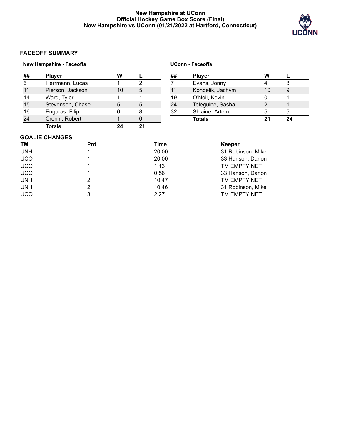### **New Hampshire at UConn Official Hockey Game Box Score (Final) New Hampshire vs UConn (01/21/2022 at Hartford, Connecticut)**

**UConn - Faceoffs**



# **FACEOFF SUMMARY**

## **New Hampshire - Faceoffs**

|    | <b>Player</b>    | w  |   |  |
|----|------------------|----|---|--|
| 6  | Herrmann, Lucas  |    |   |  |
| 11 | Pierson, Jackson | 10 | 5 |  |
| 14 | Ward, Tyler      |    |   |  |
| 15 | Stevenson, Chase | 5  | 5 |  |
| 16 | Engaras, Filip   | ิค | 8 |  |
| 24 | Cronin, Robert   |    |   |  |
|    | <b>Totals</b>    |    |   |  |

| ## | <b>Player</b>    | w  |    |
|----|------------------|----|----|
| 7  | Evans, Jonny     |    |    |
| 11 | Kondelik, Jachym | 10 | 9  |
| 19 | O'Neil, Kevin    |    |    |
| 24 | Teleguine, Sasha | 2  |    |
| 32 | Shlaine, Artem   | 5  | 5  |
|    | <b>Totals</b>    | 21 | 24 |

#### **GOALIE CHANGES**

| ΤM         | <b>Prd</b> | Time  | Keeper            |  |
|------------|------------|-------|-------------------|--|
| <b>UNH</b> |            | 20:00 | 31 Robinson, Mike |  |
| <b>UCO</b> |            | 20:00 | 33 Hanson, Darion |  |
| <b>UCO</b> |            | 1:13  | TM EMPTY NET      |  |
| <b>UCO</b> |            | 0:56  | 33 Hanson, Darion |  |
| <b>UNH</b> |            | 10:47 | TM EMPTY NET      |  |
| <b>UNH</b> |            | 10:46 | 31 Robinson, Mike |  |
| <b>UCO</b> |            | 2:27  | TM EMPTY NET      |  |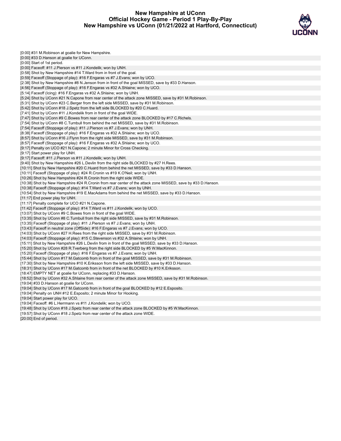#### **New Hampshire at UConn Official Hockey Game - Period 1 Play-By-Play New Hampshire vs UConn (01/21/2022 at Hartford, Connecticut)**



| [0:00] #31 M. Robinson at goalie for New Hampshire.                                                          |
|--------------------------------------------------------------------------------------------------------------|
| [0:00] #33 D. Hanson at goalie for UConn.                                                                    |
| [0:00] Start of 1st period.                                                                                  |
| [0:00] Faceoff: #11 J.Pierson vs #11 J.Kondelik; won by UNH.                                                 |
| [0:58] Shot by New Hampshire #14 T. Ward from in front of the goal.                                          |
| [0:59] Faceoff (Stoppage of play): #16 F. Engaras vs #7 J. Evans; won by UCO.                                |
| [2:38] Shot by New Hampshire #8 N. Jenson from in front of the goal MISSED, save by #33 D. Hanson.           |
| [4:56] Faceoff (Stoppage of play): #16 F. Engaras vs #32 A. Shlaine; won by UCO.                             |
| [5:14] Faceoff (Icing): #16 F. Engaras vs #32 A. Shlaine; won by UNH.                                        |
| [5:24] Shot by UConn #21 N.Capone from rear center of the attack zone MISSED, save by #31 M.Robinson.        |
| [5:31] Shot by UConn #23 C.Berger from the left side MISSED, save by #31 M.Robinson.                         |
| [5:42] Shot by UConn #18 J.Spetz from the left side BLOCKED by #20 C.Huard.                                  |
| [7:41] Shot by UConn #11 J.Kondelik from in front of the goal WIDE.                                          |
| [7:47] Shot by UConn #9 C.Bowes from rear center of the attack zone BLOCKED by #17 C.Richels.                |
| [7:54] Shot by UConn #8 C.Turnbull from behind the net MISSED, save by #31 M.Robinson.                       |
| [7:54] Faceoff (Stoppage of play): #11 J. Pierson vs #7 J. Evans; won by UNH.                                |
| [8:38] Faceoff (Stoppage of play): #16 F. Engaras vs #32 A. Shlaine; won by UCO.                             |
| [8:57] Shot by UConn #16 J. Flynn from the right side MISSED, save by #31 M. Robinson.                       |
| [8:57] Faceoff (Stoppage of play): #16 F.Engaras vs #32 A.Shlaine; won by UCO.                               |
| [9:17] Penalty on UCO #21 N.Capone; 2 minute Minor for Cross Checking.                                       |
| [9:17] Start power play for UNH.                                                                             |
| [9:17] Faceoff: #11 J. Pierson vs #11 J. Kondelik; won by UNH.                                               |
| [9:40] Shot by New Hampshire #26 L.Devlin from the right side BLOCKED by #27 H.Rees.                         |
| [10:11] Shot by New Hampshire #20 C.Huard from behind the net MISSED, save by #33 D.Hanson.                  |
| [10:11] Faceoff (Stoppage of play): #24 R.Cronin vs #19 K.O'Neil; won by UNH.                                |
| [10:26] Shot by New Hampshire #24 R.Cronin from the right side WIDE.                                         |
| [10:38] Shot by New Hampshire #24 R.Cronin from rear center of the attack zone MISSED, save by #33 D.Hanson. |
| [10:38] Faceoff (Stoppage of play): #14 T.Ward vs #7 J.Evans; won by UNH.                                    |
| [10:54] Shot by New Hampshire #19 E.MacAdams from behind the net MISSED, save by #33 D.Hanson.               |
| [11:17] End power play for UNH.                                                                              |
| [11:17] Penalty complete for UCO #21 N.Capone.                                                               |
| [11:42] Faceoff (Stoppage of play): #14 T.Ward vs #11 J.Kondelik; won by UCO.                                |
| [13:07] Shot by UConn #9 C. Bowes from in front of the goal WIDE.                                            |
| [13:35] Shot by UConn #8 C.Turnbull from the right side MISSED, save by #31 M.Robinson.                      |
| [13:35] Faceoff (Stoppage of play): #11 J. Pierson vs #7 J. Evans; won by UNH.                               |
| [13:43] Faceoff in neutral zone (OffSide): #16 F.Engaras vs #7 J.Evans; won by UCO.                          |
| [14:03] Shot by UConn #27 H.Rees from the right side MISSED, save by #31 M.Robinson.                         |
| [14:03] Faceoff (Stoppage of play): #15 C.Stevenson vs #32 A.Shlaine; won by UNH.                            |
| [15:11] Shot by New Hampshire #26 L.Devlin from in front of the goal MISSED, save by #33 D.Hanson.           |
| [15:20] Shot by UConn #28 R.Tverberg from the right side BLOCKED by #5 W.MacKinnon.                          |
| [15:20] Faceoff (Stoppage of play): #16 F. Engaras vs #7 J. Evans; won by UNH.                               |
| [15:44] Shot by UConn #17 M.Gatcomb from in front of the goal MISSED, save by #31 M.Robinson.                |
| [17:30] Shot by New Hampshire #10 K. Eriksson from the left side MISSED, save by #33 D. Hanson.              |
| [18:31] Shot by UConn #17 M. Gatcomb from in front of the net BLOCKED by #10 K. Eriksson.                    |
| [18:47] EMPTY NET at goalie for UConn, replacing #33 D. Hanson.                                              |
| [18:52] Shot by UConn #32 A.Shlaine from rear center of the attack zone MISSED, save by #31 M.Robinson.      |
| [19:04] #33 D. Hanson at goalie for UConn.                                                                   |
| [19:04] Shot by UConn #17 M. Gatcomb from in front of the goal BLOCKED by #12 E. Esposito.                   |
| [19:04] Penalty on UNH #12 E. Esposito; 2 minute Minor for Hooking.                                          |
| [19:04] Start power play for UCO.                                                                            |
| [19:04] Faceoff: #6 L.Herrmann vs #11 J.Kondelik; won by UCO.                                                |
| [19:48] Shot by UConn #18 J.Spetz from rear center of the attack zone BLOCKED by #5 W.MacKinnon.             |
| [19:57] Shot by UConn #18 J.Spetz from rear center of the attack zone WIDE.                                  |

[20:00] End of period.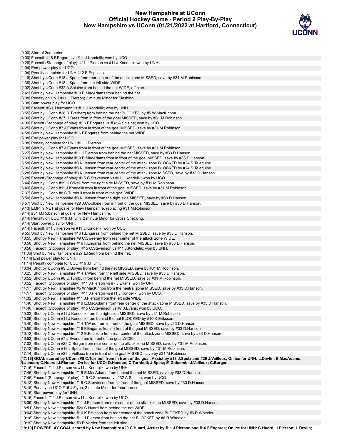### **New Hampshire at UConn Official Hockey Game - Period 2 Play-By-Play New Hampshire vs UConn (01/21/2022 at Hartford, Connecticut)**



| [0:00] Start of 2nd period.                                                                                                                                                                                     |
|-----------------------------------------------------------------------------------------------------------------------------------------------------------------------------------------------------------------|
| [0:00] Faceoff: #16 F.Engaras vs #11 J.Kondelik; won by UCO.                                                                                                                                                    |
| [0:26] Faceoff (Stoppage of play): #11 J.Pierson vs #11 J.Kondelik; won by UNH.                                                                                                                                 |
| [1:04] End power play for UCO.                                                                                                                                                                                  |
| [1:04] Penalty complete for UNH #12 E.Esposito.                                                                                                                                                                 |
| .15] Shot by UConn #18 J.Spetz from rear center of the attack zone MISSED, save by #31 M.Robinson[                                                                                                              |
| [1:38] Shot by UConn #18 J.Spetz from the left side WIDE.                                                                                                                                                       |
| [2:02] Shot by UConn #32 A.Shlaine from behind the net WIDE, off pipe.<br>[2:41] Shot by New Hampshire #19 E.MacAdams from behind the net.                                                                      |
| [3:08] Penalty on UNH #11 J.Pierson; 2 minute Minor for Slashing.                                                                                                                                               |
| [3:08] Start power play for UCO.                                                                                                                                                                                |
| [3:08] Faceoff: #6 L.Herrmann vs #11 J.Kondelik; won by UNH.                                                                                                                                                    |
| [3:55] Shot by UConn #28 R.Tverberg from behind the net BLOCKED by #5 W.MacKinnon.                                                                                                                              |
| [4:00] Shot by UConn #27 H.Rees from in front of the goal MISSED, save by #31 M.Robinson.                                                                                                                       |
| [4:00] Faceoff (Stoppage of play): #16 F.Engaras vs #32 A.Shlaine; won by UCO.<br>[4:25] Shot by UConn #7 J.Evans from in front of the goal MISSED, save by #31 M.Robinson.                                     |
| [4:58] Shot by New Hampshire #16 F.Engaras from behind the net WIDE.                                                                                                                                            |
| [5:08] End power play for UCO.                                                                                                                                                                                  |
| [5:08] Penalty complete for UNH #11 J.Pierson.                                                                                                                                                                  |
| [5:08] Shot by UConn #7 J.Evans from in front of the goal MISSED, save by #31 M.Robinson.                                                                                                                       |
| [5:27] Shot by New Hampshire #11 J.Pierson from behind the net MISSED, save by #33 D.Hanson.                                                                                                                    |
| [5:33] Shot by New Hampshire #19 E.MacAdams from in front of the goal MISSED, save by #33 D.Hanson.<br>.5.58] Shot by New Hampshire #8 N.Jenson from rear center of the attack zone BLOCKED by #24 S.Teleguine[ |
| .6:06] Shot by New Hampshire #8 N.Jenson from rear center of the attack zone BLOCKED by #24 S.Teleguine[                                                                                                        |
| [6:28] Shot by New Hampshire #8 N.Jenson from rear center of the attack zone MISSED, save by #33 D.Hanson.                                                                                                      |
| [6:28] Faceoff (Stoppage of play): #15 C.Stevenson vs #11 J.Kondelik; won by UCO.                                                                                                                               |
| [6:44] Shot by UConn #19 K.O'Neil from the right side MISSED, save by #31 M.Robinson.                                                                                                                           |
| [6:49] Shot by UConn #11 J.Kondelik from in front of the goal MISSED, save by #31 M.Robinson.                                                                                                                   |
| [7:37] Shot by UConn #8 C.Turnbull from in front of the goal WIDE.                                                                                                                                              |
| [8:50] Shot by New Hampshire #8 N.Jenson from the right side MISSED, save by #33 D.Hanson.<br>.8:57] Shot by New Hampshire #29 J.Cipollone from in front of the goal MISSED, save by #33 D.Hanson[              |
| [9:13] EMPTY NET at goalie for New Hampshire, replacing #31 M.Robinson.                                                                                                                                         |
| [9:14] #31 M.Robinson at goalie for New Hampshire.                                                                                                                                                              |
| [9:14] Penalty on UCO #16 J.Flynn; 2 minute Minor for Cross Checking.                                                                                                                                           |
| [9:14] Start power play for UNH.                                                                                                                                                                                |
| [9:14] Faceoff: #11 J.Pierson vs #11 J.Kondelik; won by UCO.<br>[9:55] Shot by New Hampshire #16 F.Engaras from behind the net MISSED, save by #33 D.Hanson.                                                    |
| [10:55] Shot by New Hampshire #9 C.Sweeney from rear center of the attack zone WIDE.                                                                                                                            |
| [10:58] Shot by New Hampshire #16 F.Engaras from behind the net MISSED, save by #33 D.Hanson.                                                                                                                   |
| [10:58] Faceoff (Stoppage of play): #15 C.Stevenson vs #11 J.Kondelik; won by UNH.                                                                                                                              |
|                                                                                                                                                                                                                 |
| [11:06] Shot by New Hampshire #27 L.Reid from behind the net.                                                                                                                                                   |
| [11:14] End power play for UNH.                                                                                                                                                                                 |
| [11:14] Penalty complete for UCO #16 J.Flynn.                                                                                                                                                                   |
| [13:04] Shot by UConn #9 C.Bowes from behind the net MISSED, save by #31 M.Robinson.<br>[13:25] Shot by New Hampshire #14 T.Ward from the left side MISSED, save by #33 D.Hanson.                               |
| [13:52] Shot by UConn #8 C.Turnbull from behind the net MISSED, save by #31 M.Robinson.                                                                                                                         |
| [13:52] Faceoff (Stoppage of play): #11 J.Pierson vs #7 J.Evans; won by UNH.                                                                                                                                    |
| .14:17] Shot by New Hampshire #5 W.MacKinnon from the neutral zone MISSED, save by #33 D.Hanson                                                                                                                 |
| [14:17] Faceoff (Stoppage of play): #11 J.Pierson vs #11 J.Kondelik; won by UCO.                                                                                                                                |
| [14:32] Shot by New Hampshire #11 J.Pierson from the left side WIDE.                                                                                                                                            |
| [14:40] Shot by New Hampshire #19 E.MacAdams from rear center of the attack zone MISSED, save by #33 D.Hanson.<br>[14:40] Faceoff (Stoppage of play): #15 C.Stevenson vs #7 J.Evans; won by UCO.                |
| [15:03] Shot by UConn #11 J.Kondelik from the right side MISSED, save by #31 M.Robinson.                                                                                                                        |
| [15:09] Shot by UConn #11 J.Kondelik from behind the net BLOCKED by #10 K.Eriksson.                                                                                                                             |
| [15:40] Shot by New Hampshire #14 T.Ward from in front of the goal MISSED, save by #33 D.Hanson.                                                                                                                |
| [15:50] Shot by New Hampshire #16 F.Engaras from in front of the goal MISSED, save by #33 D.Hanson.                                                                                                             |
| [16:12] Shot by New Hampshire #12 E.Esposito from rear center of the attack zone MISSED, save by #33 D.Hanson.                                                                                                  |
| [16:52] Shot by UConn #7 J.Evans from in front of the goal WIDE.<br>[17:02] Shot by UConn #23 C.Berger from rear center of the attack zone MISSED, save by #31 M.Robinson.                                      |
| [17:12] Shot by UConn #18 J.Spetz from in front of the goal MISSED, save by #31 M.Robinson.                                                                                                                     |
| [17:14] Shot by UConn #29 J.Veilleux from in front of the goal MISSED, save by #31 M.Robinson.                                                                                                                  |
| [17:16] GOAL scored by UConn #8 C.Turnbull from in front of the goal, Assist by #18 J.Spetz and #29 J.Veilleux; On ice for UNH: L.Devlin; E.MacAdams;                                                           |
| N.Jenson; C.Huard; J.Pierson. On ice for UCO: D.Hanson; C.Turnbull; J.Spetz; M.Gatcomb; J.Veilleux; C.Berger.<br>[17:16] Faceoff: #11 J.Pierson vs #11 J.Kondelik; won by UNH.                                  |
| .17:46] Shot by New Hampshire #19 E.MacAdams from behind the net MISSED, save by #33 D.Hanson                                                                                                                   |
| [17:46] Faceoff (Stoppage of play): #15 C.Stevenson vs #32 A.Shlaine; won by UCO.                                                                                                                               |
| [18:12] Shot by New Hampshire #15 C.Stevenson from in front of the goal MISSED, save by #33 D.Hanson.                                                                                                           |
| [18:16] Penalty on UCO #16 J.Flynn; 2 minute Minor for Interference.                                                                                                                                            |
| [18:16] Start power play for UNH.                                                                                                                                                                               |
| [18:16] Faceoff: #11 J.Pierson vs #11 J.Kondelik; won by UCO.<br>[18:39] Shot by New Hampshire #11 J.Pierson from rear center of the attack zone MISSED, save by #33 D.Hanson.                                  |
| [18:51] Shot by New Hampshire #20 C.Huard from behind the net WIDE.                                                                                                                                             |
| [19:04] Shot by New Hampshire #10 K.Eriksson from rear center of the attack zone BLOCKED by #6 R.Wheeler.<br>[19:16] Shot by New Hampshire #11 J.Pierson from behind the net BLOCKED by #6 R.Wheeler.           |

[19:19] Shot by New Hampshire #3 R.Verrier from the left side.

[19:19] POWERPLAY GOAL scored by New Hampshire #20 C.Huard, Assist by #11 J.Pierson and #16 F.Engaras; On ice for UNH: C.Huard; J.Pierson; L.Devlin;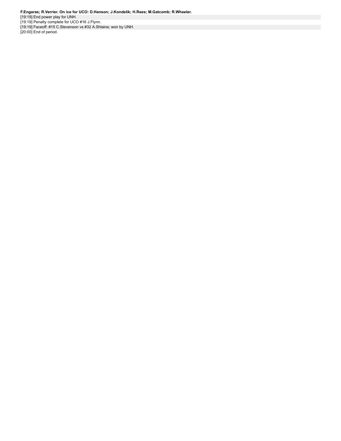[19:19] End power play for UNH. [19:19] Penalty complete for UCO #16 J.Flynn.

[19:19] Faceoff: #15 C.Stevenson vs #32 A.Shlaine; won by UNH.

[20:00] End of period.